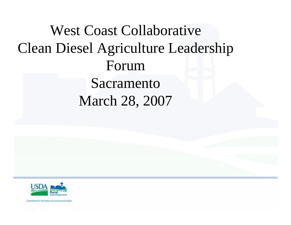West Coast Collaborative Clean Diesel Agriculture Leadership ForumSacramento March 28, 2007

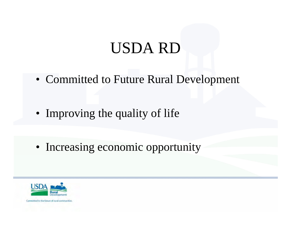#### USDA RD

• Committed to Future Rural Development

• Improving the quality of life

• Increasing economic opportunity

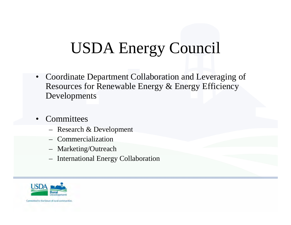# USDA Energy Council

- • Coordinate Department Collaboration and Leveraging of Resources for Renewable Energy & Energy Efficiency Developments
- •**Committees** 
	- Research & Development
	- Commercialization
	- Marketing/Outreach
	- International Energy Collaboration

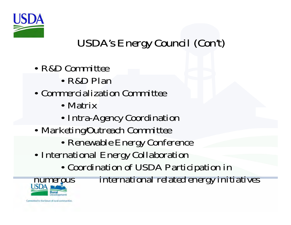

#### USDA's Energy Council (Con't)

- R&D Committee
	- R&D Plan
- Commercialization Committee
	- Matrix
	- Intra-Agency Coordination
- Marketing/Outreach Committee
	- Renewable Energy Conference
- International Energy Collaboration
	- Coordination of USDA Participation in



numerous international related energy initiatives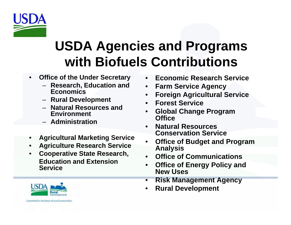

#### **USDA Agencies and Programs with Biofuels Contributions**

- • **Office of the Under Secretary**
	- **Research, Education and Economics**
	- **Rural Development**
	- **Natural Resources and Environment**
	- **Administration**
- •**Agricultural Marketing Service**
- •**Agriculture Research Service**
- • **Cooperative State Research, Education and Extension Service**
- $\bullet$ **Economic Research Service**
- $\bullet$ **Farm Service Agency**
- $\bullet$ **Foreign Agricultural Service**
- •**Forest Service**
- • **Global Change Program Office**
- • **Natural Resources Conservation Service**
- • **Office of Budget and Program Analysis**
- •**Office of Communications**
- • **Office of Energy Policy and New Uses**
- •**Risk Management Agency**
- •**Rural Development**

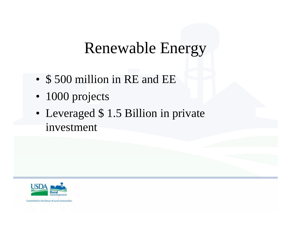#### Renewable Energy

- •\$ 500 million in RE and EE
- 1000 projects
- • Leveraged \$ 1.5 Billion in private investment

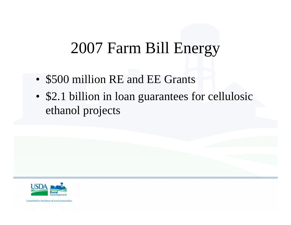### 2007 Farm Bill Energy

- •\$500 million RE and EE Grants
- • \$2.1 billion in loan guarantees for cellulosic ethanol projects

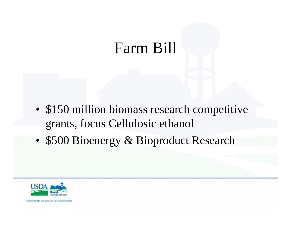#### Farm Bill

- • \$150 million biomass research competitive grants, focus Cellulosic ethanol
- •\$500 Bioenergy & Bioproduct Research

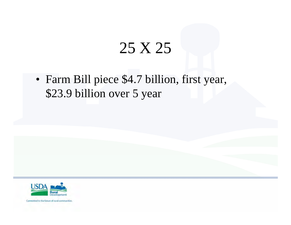### 25 X 25

• Farm Bill piece \$4.7 billion, first year, \$23.9 billion over 5 year

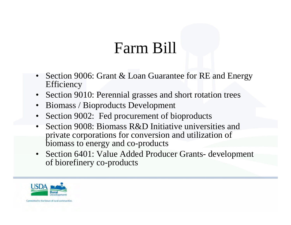### Farm Bill

- Section 9006: Grant & Loan Guarantee for RE and Energy **Efficiency**
- Section 9010: Perennial grasses and short rotation trees
- •Biomass / Bioproducts Development
- •Section 9002: Fed procurement of bioproducts
- • Section 9008: Biomass R&D Initiative universities and private corporations for conversion and utilization of biomass to energy and co-products
- Section 6401: Value Added Producer Grants- development of biorefinery co-products

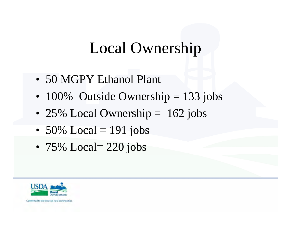### Local Ownership

- 50 MGPY Ethanol Plant
- 100% Outside Ownership = 133 jobs
- 25% Local Ownership = 162 jobs
- 50% Local = 191 jobs
- 75% Local= 220 jobs

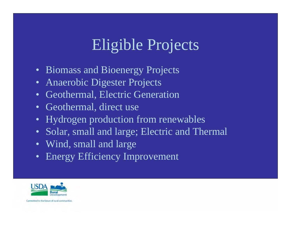### Eligible Projects

- Biomass and Bioenergy Projects
- Anaerobic Digester Projects
- Geothermal, Electric Generation
- Geothermal, direct use
- Hydrogen production from renewables
- Solar, small and large; Electric and Thermal
- Wind, small and large
- Energy Efficiency Improvement

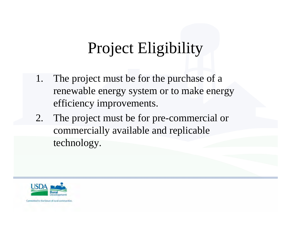# Project Eligibility

- 1. The project must be for the purchase of a renewable energy system or to make energy efficiency improvements.
- 2. The project must be for pre-commercial or commercially available and replicable technology.

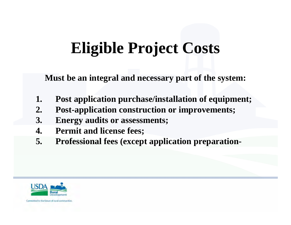# **Eligible Project Costs**

**Must be an integral and necessary part of the system:**

- **1. Post application purchase/installation of equipment;**
- **2. Post-application construction or improvements;**
- **3. Energy audits or assessments;**
- **4. Permit and license fees;**
- **5. Professional fees (except application preparation-**

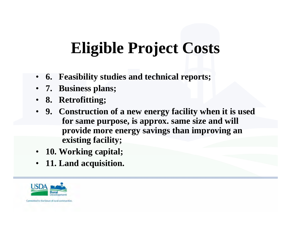# **Eligible Project Costs**

- **6. Feasibility studies and technical reports;**
- **7. Business plans;**
- **8. Retrofitting;**
- **9. Construction of a new energy facility when it is used for same purpose, is approx. same size and will provide more energy savings than improving an existing facility;**
- **10. Working capital;**
- •**11. Land acquisition.**

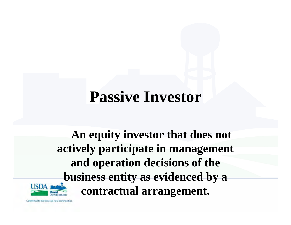### **Passive Investor**

**An equity investor that does not actively participate in management and operation decisions of the business entity as evidenced by a contractual arrangement.**

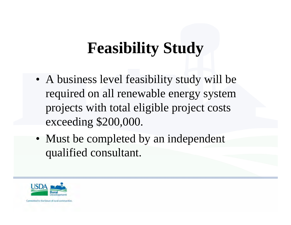# **Feasibility Study**

- A business level feasibility study will be required on all renewable energy system projects with total eligible project costs exceeding \$200,000.
- Must be completed by an independent qualified consultant.

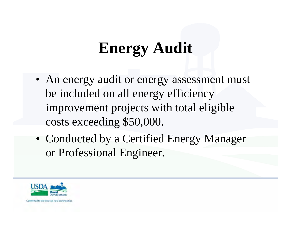# **Energy Audit**

- An energy audit or energy assessment must be included on all energy efficiency improvement projects with total eligible costs exceeding \$50,000.
- Conducted by a Certified Energy Manager or Professional Engineer.

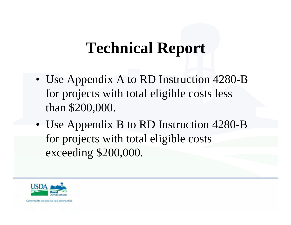### **Technical Report**

- Use Appendix A to RD Instruction 4280-B for projects with total eligible costs less than \$200,000.
- Use Appendix B to RD Instruction 4280-B for projects with total eligible costs exceeding \$200,000.

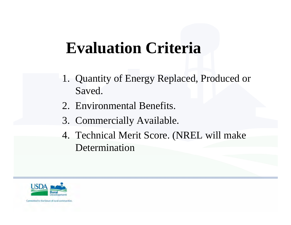### **Evaluation Criteria**

- 1. Quantity of Energy Replaced, Produced or Saved.
- 2. Environmental Benefits.
- 3. Commercially Available.
- 4. Technical Merit Score. (NREL will make Determination

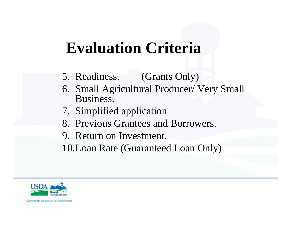### **Evaluation Criteria**

- 5. Readiness. (Grants Only)
- 6. Small Agricultural Producer/ Very Small Business.
- 7. Simplified application
- 8. Previous Grantees and Borrowers.
- 9. Return on Investment.
- 10.Loan Rate (Guaranteed Loan Only)